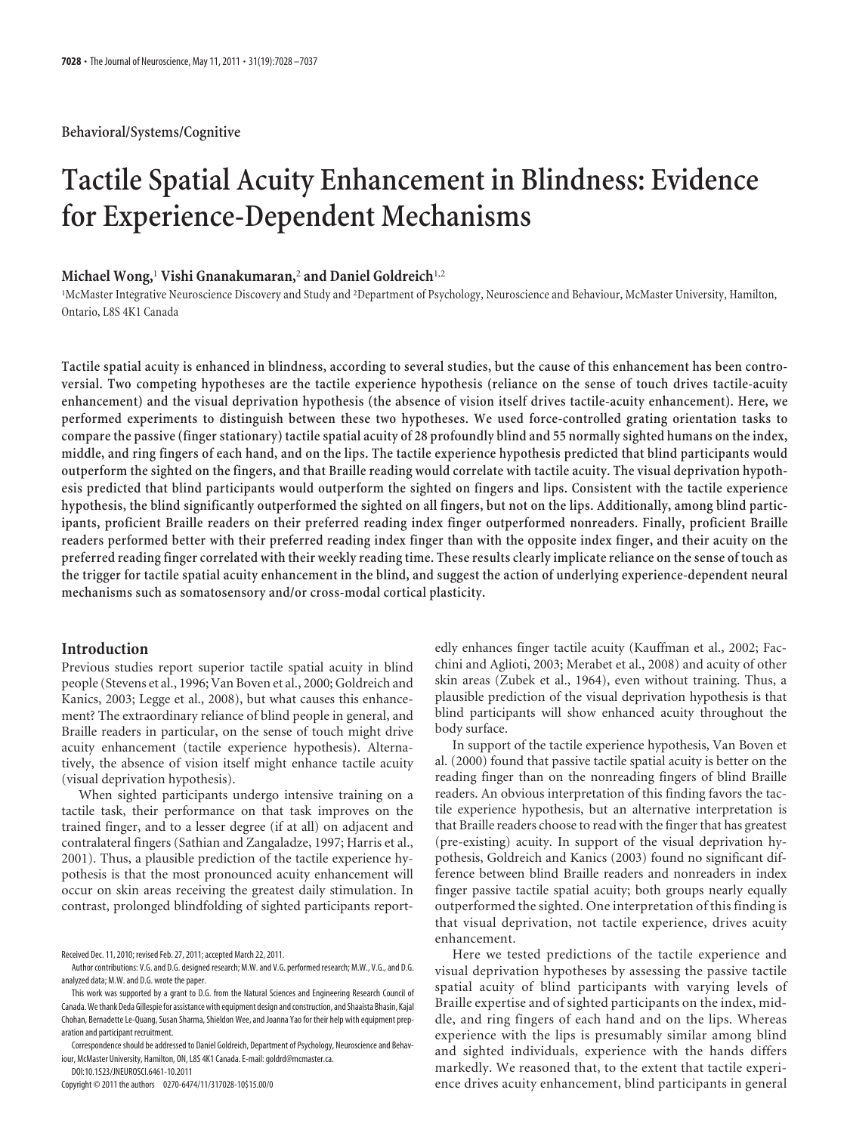# **Tactile Spatial Acuity Enhancement in Blindness: Evidence for Experience-Dependent Mechanisms**

#### **Michael Wong,**<sup>1</sup> **Vishi Gnanakumaran,**<sup>2</sup> **and Daniel Goldreich**1,2

<sup>1</sup>McMaster Integrative Neuroscience Discovery and Study and <sup>2</sup>Department of Psychology, Neuroscience and Behaviour, McMaster University, Hamilton, Ontario, L8S 4K1 Canada

**Tactile spatial acuity is enhanced in blindness, according to several studies, but the cause of this enhancement has been controversial. Two competing hypotheses are the tactile experience hypothesis (reliance on the sense of touch drives tactile-acuity enhancement) and the visual deprivation hypothesis (the absence of vision itself drives tactile-acuity enhancement). Here, we performed experiments to distinguish between these two hypotheses. We used force-controlled grating orientation tasks to compare the passive (finger stationary) tactile spatial acuity of 28 profoundly blind and 55 normally sighted humans on the index, middle, and ring fingers of each hand, and on the lips. The tactile experience hypothesis predicted that blind participants would outperform the sighted on the fingers, and that Braille reading would correlate with tactile acuity. The visual deprivation hypothesis predicted that blind participants would outperform the sighted on fingers and lips. Consistent with the tactile experience hypothesis, the blind significantly outperformed the sighted on all fingers, but not on the lips. Additionally, among blind participants, proficient Braille readers on their preferred reading index finger outperformed nonreaders. Finally, proficient Braille readers performed better with their preferred reading index finger than with the opposite index finger, and their acuity on the preferred reading finger correlated with their weekly reading time. These results clearly implicate reliance on the sense of touch as the trigger for tactile spatial acuity enhancement in the blind, and suggest the action of underlying experience-dependent neural mechanisms such as somatosensory and/or cross-modal cortical plasticity.**

# **Introduction**

Previous studies report superior tactile spatial acuity in blind people (Stevens et al., 1996; Van Boven et al., 2000; Goldreich and Kanics, 2003; Legge et al., 2008), but what causes this enhancement? The extraordinary reliance of blind people in general, and Braille readers in particular, on the sense of touch might drive acuity enhancement (tactile experience hypothesis). Alternatively, the absence of vision itself might enhance tactile acuity (visual deprivation hypothesis).

When sighted participants undergo intensive training on a tactile task, their performance on that task improves on the trained finger, and to a lesser degree (if at all) on adjacent and contralateral fingers (Sathian and Zangaladze, 1997; Harris et al., 2001). Thus, a plausible prediction of the tactile experience hypothesis is that the most pronounced acuity enhancement will occur on skin areas receiving the greatest daily stimulation. In contrast, prolonged blindfolding of sighted participants report-

DOI:10.1523/JNEUROSCI.6461-10.2011

Copyright © 2011 the authors 0270-6474/11/317028-10\$15.00/0

edly enhances finger tactile acuity (Kauffman et al., 2002; Facchini and Aglioti, 2003; Merabet et al., 2008) and acuity of other skin areas (Zubek et al., 1964), even without training. Thus, a plausible prediction of the visual deprivation hypothesis is that blind participants will show enhanced acuity throughout the body surface.

In support of the tactile experience hypothesis, Van Boven et al. (2000) found that passive tactile spatial acuity is better on the reading finger than on the nonreading fingers of blind Braille readers. An obvious interpretation of this finding favors the tactile experience hypothesis, but an alternative interpretation is that Braille readers choose to read with the finger that has greatest (pre-existing) acuity. In support of the visual deprivation hypothesis, Goldreich and Kanics (2003) found no significant difference between blind Braille readers and nonreaders in index finger passive tactile spatial acuity; both groups nearly equally outperformed the sighted. One interpretation of this finding is that visual deprivation, not tactile experience, drives acuity enhancement.

Here we tested predictions of the tactile experience and visual deprivation hypotheses by assessing the passive tactile spatial acuity of blind participants with varying levels of Braille expertise and of sighted participants on the index, middle, and ring fingers of each hand and on the lips. Whereas experience with the lips is presumably similar among blind and sighted individuals, experience with the hands differs markedly. We reasoned that, to the extent that tactile experience drives acuity enhancement, blind participants in general

Received Dec. 11, 2010; revised Feb. 27, 2011; accepted March 22, 2011.

Author contributions: V.G. and D.G. designed research; M.W. and V.G. performed research; M.W., V.G., and D.G. analyzed data; M.W. and D.G. wrote the paper.

This work was supported by a grant to D.G. from the Natural Sciences and Engineering Research Council of Canada.Wethank Deda Gillespie for assistance with equipment design and construction, and Shaaista Bhasin, Kajal Chohan, Bernadette Le-Quang, Susan Sharma, Shieldon Wee, and Joanna Yao for their help with equipment preparation and participant recruitment.

Correspondence should be addressed to Daniel Goldreich, Department of Psychology, Neuroscience and Behaviour, McMaster University, Hamilton, ON, L8S 4K1 Canada. E-mail: goldrd@mcmaster.ca.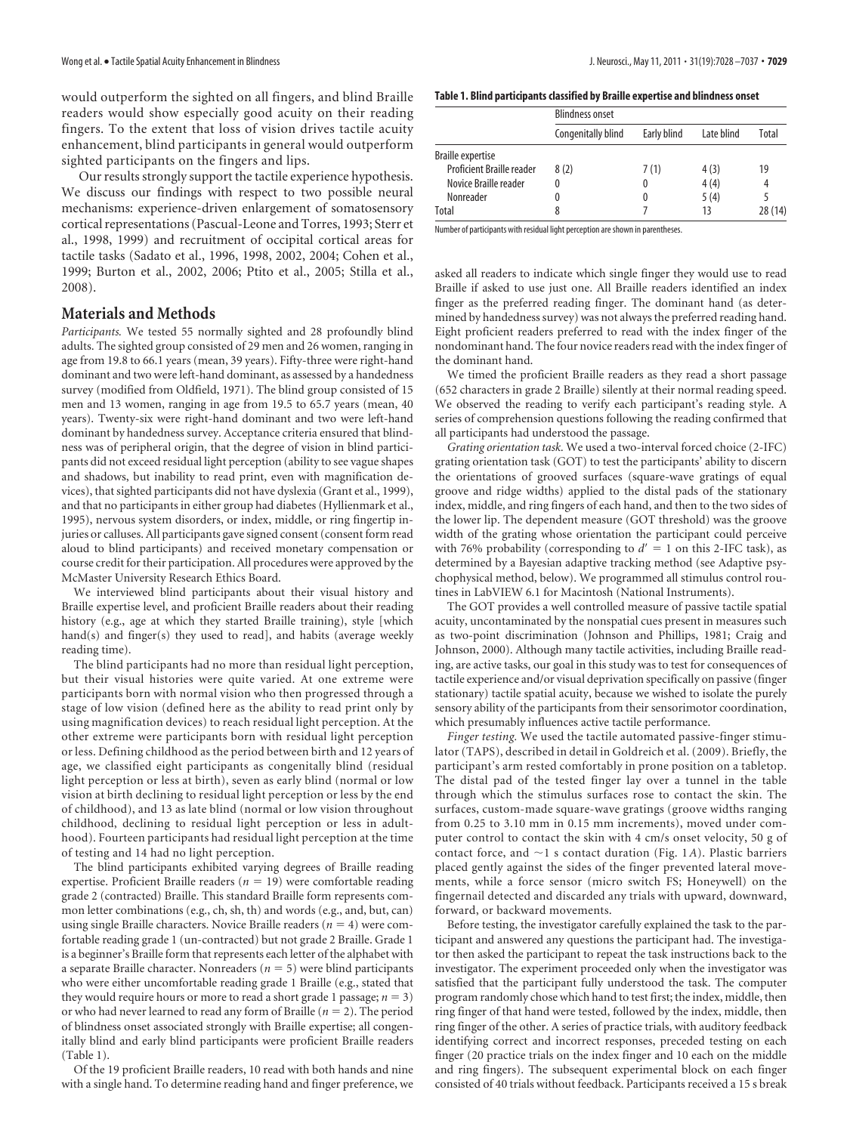would outperform the sighted on all fingers, and blind Braille readers would show especially good acuity on their reading fingers. To the extent that loss of vision drives tactile acuity enhancement, blind participants in general would outperform sighted participants on the fingers and lips.

Our results strongly support the tactile experience hypothesis. We discuss our findings with respect to two possible neural mechanisms: experience-driven enlargement of somatosensory cortical representations (Pascual-Leone and Torres, 1993; Sterr et al., 1998, 1999) and recruitment of occipital cortical areas for tactile tasks (Sadato et al., 1996, 1998, 2002, 2004; Cohen et al., 1999; Burton et al., 2002, 2006; Ptito et al., 2005; Stilla et al., 2008).

# **Materials and Methods**

*Participants.* We tested 55 normally sighted and 28 profoundly blind adults. The sighted group consisted of 29 men and 26 women, ranging in age from 19.8 to 66.1 years (mean, 39 years). Fifty-three were right-hand dominant and two were left-hand dominant, as assessed by a handedness survey (modified from Oldfield, 1971). The blind group consisted of 15 men and 13 women, ranging in age from 19.5 to 65.7 years (mean, 40 years). Twenty-six were right-hand dominant and two were left-hand dominant by handedness survey. Acceptance criteria ensured that blindness was of peripheral origin, that the degree of vision in blind participants did not exceed residual light perception (ability to see vague shapes and shadows, but inability to read print, even with magnification devices), that sighted participants did not have dyslexia (Grant et al., 1999), and that no participants in either group had diabetes (Hyllienmark et al., 1995), nervous system disorders, or index, middle, or ring fingertip injuries or calluses. All participants gave signed consent (consent form read aloud to blind participants) and received monetary compensation or course credit for their participation. All procedures were approved by the McMaster University Research Ethics Board.

We interviewed blind participants about their visual history and Braille expertise level, and proficient Braille readers about their reading history (e.g., age at which they started Braille training), style [which hand(s) and finger(s) they used to read], and habits (average weekly reading time).

The blind participants had no more than residual light perception, but their visual histories were quite varied. At one extreme were participants born with normal vision who then progressed through a stage of low vision (defined here as the ability to read print only by using magnification devices) to reach residual light perception. At the other extreme were participants born with residual light perception or less. Defining childhood as the period between birth and 12 years of age, we classified eight participants as congenitally blind (residual light perception or less at birth), seven as early blind (normal or low vision at birth declining to residual light perception or less by the end of childhood), and 13 as late blind (normal or low vision throughout childhood, declining to residual light perception or less in adulthood). Fourteen participants had residual light perception at the time of testing and 14 had no light perception.

The blind participants exhibited varying degrees of Braille reading expertise. Proficient Braille readers ( $n = 19$ ) were comfortable reading grade 2 (contracted) Braille. This standard Braille form represents common letter combinations (e.g., ch, sh, th) and words (e.g., and, but, can) using single Braille characters. Novice Braille readers  $(n = 4)$  were comfortable reading grade 1 (un-contracted) but not grade 2 Braille. Grade 1 is a beginner's Braille form that represents each letter of the alphabet with a separate Braille character. Nonreaders  $(n = 5)$  were blind participants who were either uncomfortable reading grade 1 Braille (e.g., stated that they would require hours or more to read a short grade 1 passage;  $n = 3$ ) or who had never learned to read any form of Braille  $(n = 2)$ . The period of blindness onset associated strongly with Braille expertise; all congenitally blind and early blind participants were proficient Braille readers (Table 1).

Of the 19 proficient Braille readers, 10 read with both hands and nine with a single hand. To determine reading hand and finger preference, we

|                                  | <b>Blindness onset</b> |                           |      |        |  |  |
|----------------------------------|------------------------|---------------------------|------|--------|--|--|
|                                  | Congenitally blind     | Early blind<br>Late blind |      | Total  |  |  |
| <b>Braille expertise</b>         |                        |                           |      |        |  |  |
| <b>Proficient Braille reader</b> | 8(2)                   | 7(1)                      | 4(3) | 19     |  |  |
| Novice Braille reader            | 0                      |                           | 4(4) | 4      |  |  |
| Nonreader                        | 0                      | $\Omega$                  | 5(4) |        |  |  |
| Total                            | 8                      |                           | 13   | 28(14) |  |  |

Number of participants with residual light perception are shown in parentheses.

asked all readers to indicate which single finger they would use to read Braille if asked to use just one. All Braille readers identified an index finger as the preferred reading finger. The dominant hand (as determined by handedness survey) was not always the preferred reading hand. Eight proficient readers preferred to read with the index finger of the nondominant hand. The four novice readers read with the index finger of the dominant hand.

We timed the proficient Braille readers as they read a short passage (652 characters in grade 2 Braille) silently at their normal reading speed. We observed the reading to verify each participant's reading style. A series of comprehension questions following the reading confirmed that all participants had understood the passage.

*Grating orientation task.* We used a two-interval forced choice (2-IFC) grating orientation task (GOT) to test the participants' ability to discern the orientations of grooved surfaces (square-wave gratings of equal groove and ridge widths) applied to the distal pads of the stationary index, middle, and ring fingers of each hand, and then to the two sides of the lower lip. The dependent measure (GOT threshold) was the groove width of the grating whose orientation the participant could perceive with 76% probability (corresponding to  $d' = 1$  on this 2-IFC task), as determined by a Bayesian adaptive tracking method (see Adaptive psychophysical method, below). We programmed all stimulus control routines in LabVIEW 6.1 for Macintosh (National Instruments).

The GOT provides a well controlled measure of passive tactile spatial acuity, uncontaminated by the nonspatial cues present in measures such as two-point discrimination (Johnson and Phillips, 1981; Craig and Johnson, 2000). Although many tactile activities, including Braille reading, are active tasks, our goal in this study was to test for consequences of tactile experience and/or visual deprivation specifically on passive (finger stationary) tactile spatial acuity, because we wished to isolate the purely sensory ability of the participants from their sensorimotor coordination, which presumably influences active tactile performance.

*Finger testing.* We used the tactile automated passive-finger stimulator (TAPS), described in detail in Goldreich et al. (2009). Briefly, the participant's arm rested comfortably in prone position on a tabletop. The distal pad of the tested finger lay over a tunnel in the table through which the stimulus surfaces rose to contact the skin. The surfaces, custom-made square-wave gratings (groove widths ranging from 0.25 to 3.10 mm in 0.15 mm increments), moved under computer control to contact the skin with 4 cm/s onset velocity, 50 g of contact force, and  $\sim$ 1 s contact duration (Fig. 1*A*). Plastic barriers placed gently against the sides of the finger prevented lateral movements, while a force sensor (micro switch FS; Honeywell) on the fingernail detected and discarded any trials with upward, downward, forward, or backward movements.

Before testing, the investigator carefully explained the task to the participant and answered any questions the participant had. The investigator then asked the participant to repeat the task instructions back to the investigator. The experiment proceeded only when the investigator was satisfied that the participant fully understood the task. The computer program randomly chose which hand to test first; the index, middle, then ring finger of that hand were tested, followed by the index, middle, then ring finger of the other. A series of practice trials, with auditory feedback identifying correct and incorrect responses, preceded testing on each finger (20 practice trials on the index finger and 10 each on the middle and ring fingers). The subsequent experimental block on each finger consisted of 40 trials without feedback. Participants received a 15 s break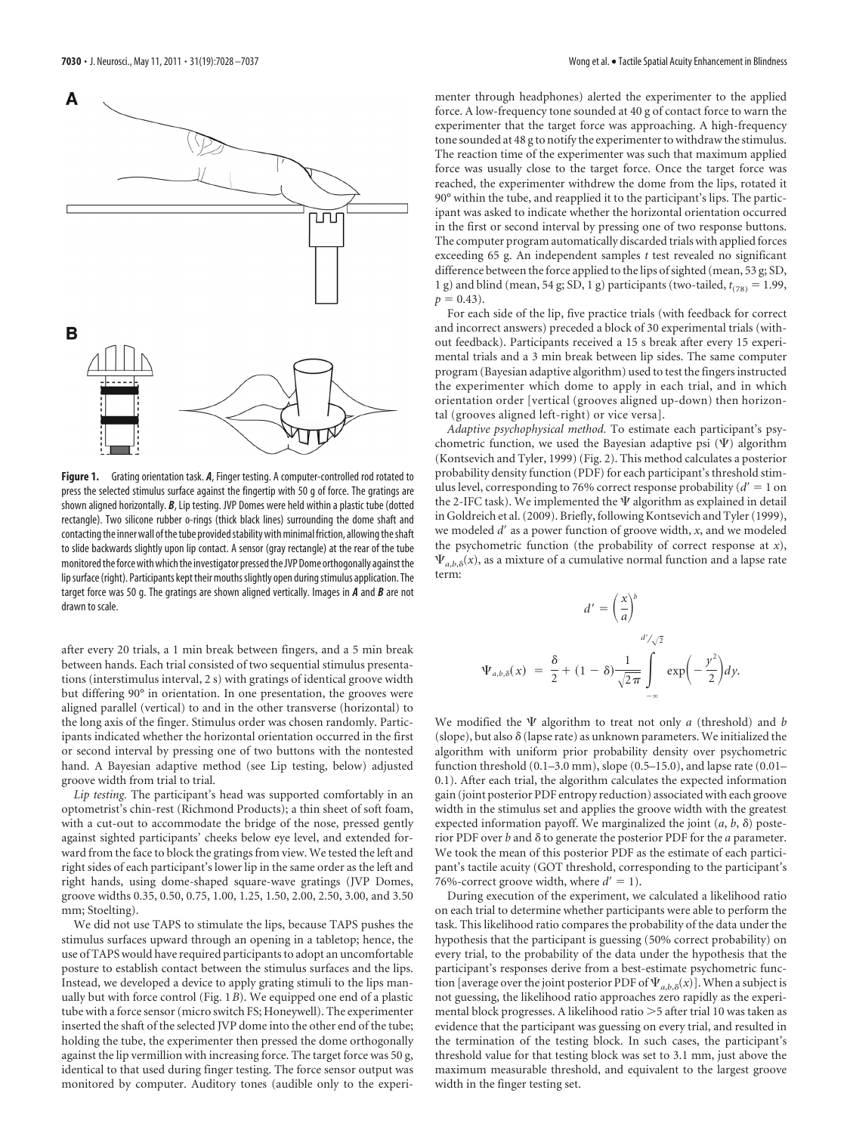

**Figure 1.** Grating orientation task. *A*, Finger testing. A computer-controlled rod rotated to press the selected stimulus surface against the fingertip with 50 g of force. The gratings are shown aligned horizontally. *B*, Lip testing. JVP Domes were held within a plastic tube (dotted rectangle). Two silicone rubber o-rings (thick black lines) surrounding the dome shaft and contacting the inner wall of the tube provided stability with minimal friction, allowing the shaft to slide backwards slightly upon lip contact. A sensor (gray rectangle) at the rear of the tube monitored the force with which the investigator pressed the JVP Dome orthogonally against the lip surface (right). Participants kept their mouths slightly open during stimulus application. The target force was 50 g. The gratings are shown aligned vertically. Images in *A* and *B* are not drawn to scale.

after every 20 trials, a 1 min break between fingers, and a 5 min break between hands. Each trial consisted of two sequential stimulus presentations (interstimulus interval, 2 s) with gratings of identical groove width but differing 90° in orientation. In one presentation, the grooves were aligned parallel (vertical) to and in the other transverse (horizontal) to the long axis of the finger. Stimulus order was chosen randomly. Participants indicated whether the horizontal orientation occurred in the first or second interval by pressing one of two buttons with the nontested hand. A Bayesian adaptive method (see Lip testing, below) adjusted groove width from trial to trial.

*Lip testing.* The participant's head was supported comfortably in an optometrist's chin-rest (Richmond Products); a thin sheet of soft foam, with a cut-out to accommodate the bridge of the nose, pressed gently against sighted participants' cheeks below eye level, and extended forward from the face to block the gratings from view. We tested the left and right sides of each participant's lower lip in the same order as the left and right hands, using dome-shaped square-wave gratings (JVP Domes, groove widths 0.35, 0.50, 0.75, 1.00, 1.25, 1.50, 2.00, 2.50, 3.00, and 3.50 mm; Stoelting).

We did not use TAPS to stimulate the lips, because TAPS pushes the stimulus surfaces upward through an opening in a tabletop; hence, the use of TAPS would have required participants to adopt an uncomfortable posture to establish contact between the stimulus surfaces and the lips. Instead, we developed a device to apply grating stimuli to the lips manually but with force control (Fig. 1*B*). We equipped one end of a plastic tube with a force sensor (micro switch FS; Honeywell). The experimenter inserted the shaft of the selected JVP dome into the other end of the tube; holding the tube, the experimenter then pressed the dome orthogonally against the lip vermillion with increasing force. The target force was 50 g, identical to that used during finger testing. The force sensor output was monitored by computer. Auditory tones (audible only to the experi-

menter through headphones) alerted the experimenter to the applied force. A low-frequency tone sounded at 40 g of contact force to warn the experimenter that the target force was approaching. A high-frequency tone sounded at 48 g to notify the experimenter to withdraw the stimulus. The reaction time of the experimenter was such that maximum applied force was usually close to the target force. Once the target force was reached, the experimenter withdrew the dome from the lips, rotated it 90° within the tube, and reapplied it to the participant's lips. The participant was asked to indicate whether the horizontal orientation occurred in the first or second interval by pressing one of two response buttons. The computer program automatically discarded trials with applied forces exceeding 65 g. An independent samples *t* test revealed no significant difference between the force applied to the lips of sighted (mean, 53 g; SD, 1 g) and blind (mean, 54 g; SD, 1 g) participants (two-tailed,  $t_{(78)} = 1.99$ ,  $p = 0.43$ .

For each side of the lip, five practice trials (with feedback for correct and incorrect answers) preceded a block of 30 experimental trials (without feedback). Participants received a 15 s break after every 15 experimental trials and a 3 min break between lip sides. The same computer program (Bayesian adaptive algorithm) used to test the fingers instructed the experimenter which dome to apply in each trial, and in which orientation order [vertical (grooves aligned up-down) then horizontal (grooves aligned left-right) or vice versa].

*Adaptive psychophysical method.* To estimate each participant's psychometric function, we used the Bayesian adaptive psi  $(\Psi)$  algorithm (Kontsevich and Tyler, 1999) (Fig. 2). This method calculates a posterior probability density function (PDF) for each participant's threshold stimulus level, corresponding to 76% correct response probability ( $d' = 1$  on the 2-IFC task). We implemented the  $\Psi$  algorithm as explained in detail in Goldreich et al. (2009). Briefly, following Kontsevich and Tyler (1999), we modeled d' as a power function of groove width, x, and we modeled the psychometric function (the probability of correct response at *x*),  $\Psi_{a,b,\delta}(x)$ , as a mixture of a cumulative normal function and a lapse rate term:

$$
d' = \left(\frac{x}{a}\right)^b
$$
  

$$
\Psi_{a,b,\delta}(x) = \frac{\delta}{2} + (1-\delta)\frac{1}{\sqrt{2\pi}} \int_{-\infty}^{d'/\sqrt{2}} \exp\left(-\frac{y^2}{2}\right) dy.
$$

We modified the  $\Psi$  algorithm to treat not only *a* (threshold) and *b* (slope), but also  $\delta$  (lapse rate) as unknown parameters. We initialized the algorithm with uniform prior probability density over psychometric function threshold (0.1–3.0 mm), slope (0.5–15.0), and lapse rate (0.01– 0.1). After each trial, the algorithm calculates the expected information gain (joint posterior PDF entropy reduction) associated with each groove width in the stimulus set and applies the groove width with the greatest expected information payoff. We marginalized the joint  $(a, b, \delta)$  posterior PDF over *b* and  $\delta$  to generate the posterior PDF for the *a* parameter. We took the mean of this posterior PDF as the estimate of each participant's tactile acuity (GOT threshold, corresponding to the participant's 76%-correct groove width, where  $d' = 1$ ).

During execution of the experiment, we calculated a likelihood ratio on each trial to determine whether participants were able to perform the task. This likelihood ratio compares the probability of the data under the hypothesis that the participant is guessing (50% correct probability) on every trial, to the probability of the data under the hypothesis that the participant's responses derive from a best-estimate psychometric function [average over the joint posterior PDF of  $\Psi_{a,b,\delta}(x)$ ]. When a subject is not guessing, the likelihood ratio approaches zero rapidly as the experimental block progresses. A likelihood ratio >5 after trial 10 was taken as evidence that the participant was guessing on every trial, and resulted in the termination of the testing block. In such cases, the participant's threshold value for that testing block was set to 3.1 mm, just above the maximum measurable threshold, and equivalent to the largest groove width in the finger testing set.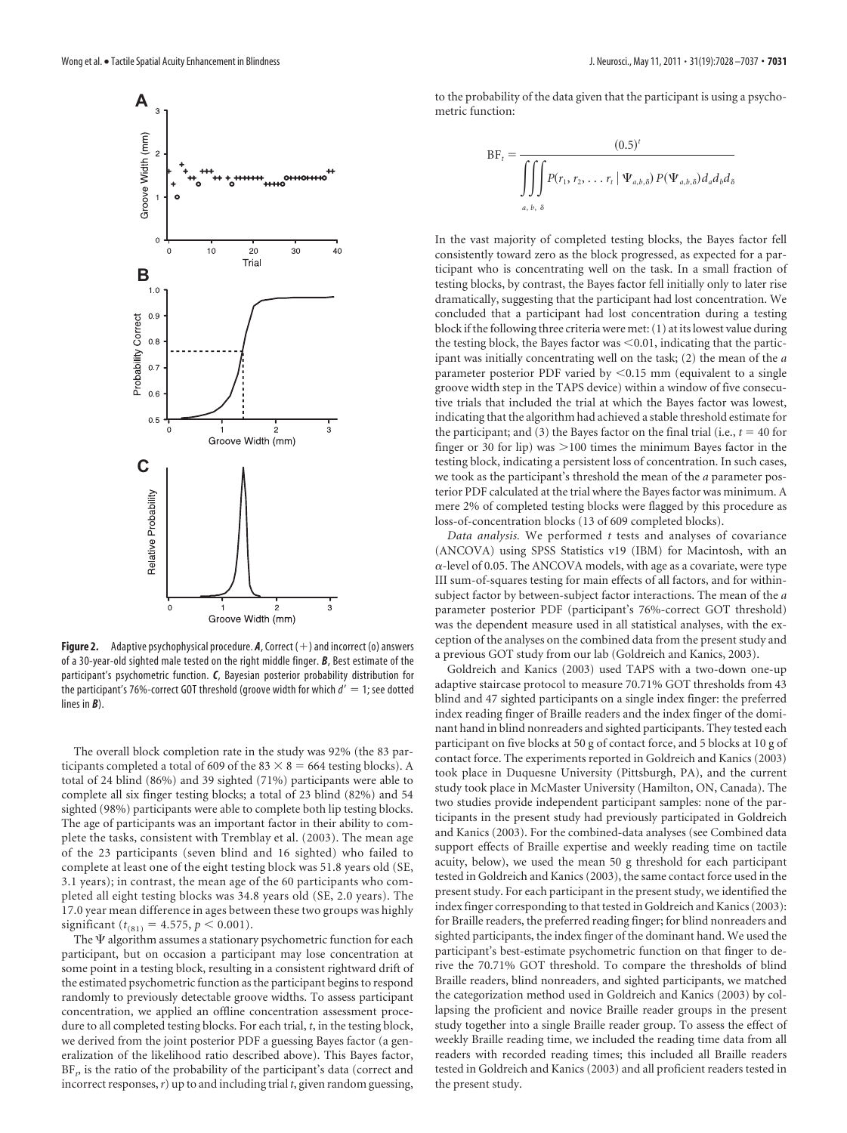

**Figure 2.** Adaptive psychophysical procedure.  $A$ , Correct  $(+)$  and incorrect (o) answers of a 30-year-old sighted male tested on the right middle finger. *B*, Best estimate of the participant's psychometric function. *C*, Bayesian posterior probability distribution for the participant's 76%-correct GOT threshold (groove width for which *d'*  $=$  1; see dotted lines in *B*).

The overall block completion rate in the study was 92% (the 83 participants completed a total of 609 of the 83  $\times$  8 = 664 testing blocks). A total of 24 blind (86%) and 39 sighted (71%) participants were able to complete all six finger testing blocks; a total of 23 blind (82%) and 54 sighted (98%) participants were able to complete both lip testing blocks. The age of participants was an important factor in their ability to complete the tasks, consistent with Tremblay et al. (2003). The mean age of the 23 participants (seven blind and 16 sighted) who failed to complete at least one of the eight testing block was 51.8 years old (SE, 3.1 years); in contrast, the mean age of the 60 participants who completed all eight testing blocks was 34.8 years old (SE, 2.0 years). The 17.0 year mean difference in ages between these two groups was highly significant ( $t_{(81)} = 4.575$ ,  $p < 0.001$ ).

The  $\Psi$  algorithm assumes a stationary psychometric function for each participant, but on occasion a participant may lose concentration at some point in a testing block, resulting in a consistent rightward drift of the estimated psychometric function as the participant begins to respond randomly to previously detectable groove widths. To assess participant concentration, we applied an offline concentration assessment procedure to all completed testing blocks. For each trial, *t*, in the testing block, we derived from the joint posterior PDF a guessing Bayes factor (a generalization of the likelihood ratio described above). This Bayes factor, BF<sub>p</sub> is the ratio of the probability of the participant's data (correct and incorrect responses,*r*) up to and including trial *t*, given random guessing, to the probability of the data given that the participant is using a psychometric function:

$$
BF_t = \frac{(0.5)^t}{\iiint P(r_1, r_2, \dots, r_t | \Psi_{a,b,\delta}) P(\Psi_{a,b,\delta}) d_a d_b d_{\delta}}
$$
  
<sub>a, b, \delta</sub>

In the vast majority of completed testing blocks, the Bayes factor fell consistently toward zero as the block progressed, as expected for a participant who is concentrating well on the task. In a small fraction of testing blocks, by contrast, the Bayes factor fell initially only to later rise dramatically, suggesting that the participant had lost concentration. We concluded that a participant had lost concentration during a testing block if the following three criteria were met: (1) at its lowest value during the testing block, the Bayes factor was  $\leq 0.01$ , indicating that the participant was initially concentrating well on the task; (2) the mean of the *a* parameter posterior PDF varied by  $\leq 0.15$  mm (equivalent to a single groove width step in the TAPS device) within a window of five consecutive trials that included the trial at which the Bayes factor was lowest, indicating that the algorithm had achieved a stable threshold estimate for the participant; and (3) the Bayes factor on the final trial (i.e.,  $t = 40$  for finger or 30 for lip) was  $>$  100 times the minimum Bayes factor in the testing block, indicating a persistent loss of concentration. In such cases, we took as the participant's threshold the mean of the *a* parameter posterior PDF calculated at the trial where the Bayes factor was minimum. A mere 2% of completed testing blocks were flagged by this procedure as loss-of-concentration blocks (13 of 609 completed blocks).

*Data analysis.* We performed *t* tests and analyses of covariance (ANCOVA) using SPSS Statistics v19 (IBM) for Macintosh, with an  $\alpha$ -level of 0.05. The ANCOVA models, with age as a covariate, were type III sum-of-squares testing for main effects of all factors, and for withinsubject factor by between-subject factor interactions. The mean of the *a* parameter posterior PDF (participant's 76%-correct GOT threshold) was the dependent measure used in all statistical analyses, with the exception of the analyses on the combined data from the present study and a previous GOT study from our lab (Goldreich and Kanics, 2003).

Goldreich and Kanics (2003) used TAPS with a two-down one-up adaptive staircase protocol to measure 70.71% GOT thresholds from 43 blind and 47 sighted participants on a single index finger: the preferred index reading finger of Braille readers and the index finger of the dominant hand in blind nonreaders and sighted participants. They tested each participant on five blocks at 50 g of contact force, and 5 blocks at 10 g of contact force. The experiments reported in Goldreich and Kanics (2003) took place in Duquesne University (Pittsburgh, PA), and the current study took place in McMaster University (Hamilton, ON, Canada). The two studies provide independent participant samples: none of the participants in the present study had previously participated in Goldreich and Kanics (2003). For the combined-data analyses (see Combined data support effects of Braille expertise and weekly reading time on tactile acuity, below), we used the mean 50 g threshold for each participant tested in Goldreich and Kanics (2003), the same contact force used in the present study. For each participant in the present study, we identified the index finger corresponding to that tested in Goldreich and Kanics (2003): for Braille readers, the preferred reading finger; for blind nonreaders and sighted participants, the index finger of the dominant hand. We used the participant's best-estimate psychometric function on that finger to derive the 70.71% GOT threshold. To compare the thresholds of blind Braille readers, blind nonreaders, and sighted participants, we matched the categorization method used in Goldreich and Kanics (2003) by collapsing the proficient and novice Braille reader groups in the present study together into a single Braille reader group. To assess the effect of weekly Braille reading time, we included the reading time data from all readers with recorded reading times; this included all Braille readers tested in Goldreich and Kanics (2003) and all proficient readers tested in the present study.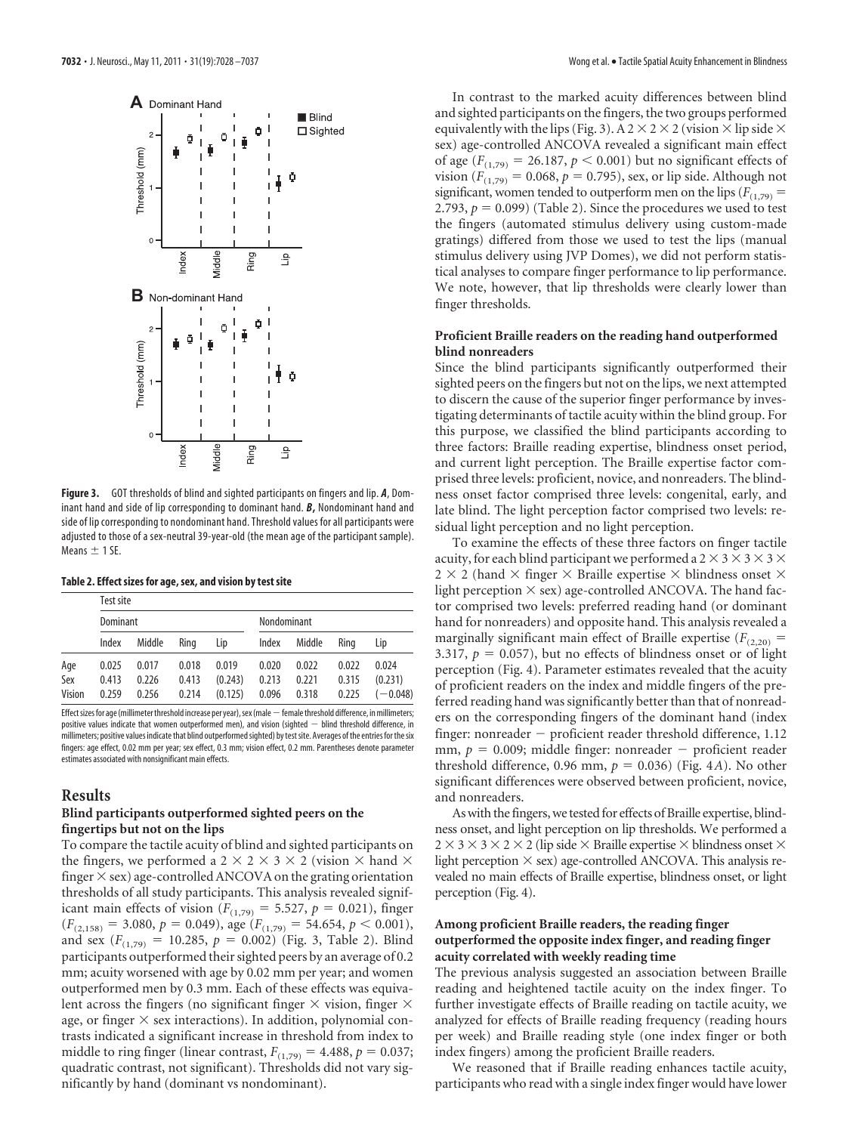

**Figure 3.** GOT thresholds of blind and sighted participants on fingers and lip. *A*, Dominant hand and side of lip corresponding to dominant hand. *B***,** Nondominant hand and side of lip corresponding to nondominant hand. Threshold values for all participants were adjusted to those of a sex-neutral 39-year-old (the mean age of the participant sample). Means  $\pm$  1 SE.

**Table 2. Effect sizes for age, sex, and vision by test site**

|        | Test site |        |       |             |       |        |       |            |
|--------|-----------|--------|-------|-------------|-------|--------|-------|------------|
|        | Dominant  |        |       | Nondominant |       |        |       |            |
|        | Index     | Middle | Rina  | Lip         | Index | Middle | Rina  | Lip        |
| Age    | 0.025     | 0.017  | 0.018 | 0.019       | 0.020 | 0.022  | 0.022 | 0.024      |
| Sex    | 0.413     | 0.226  | 0.413 | (0.243)     | 0.213 | 0.221  | 0.315 | (0.231)    |
| Vision | 0.259     | 0.256  | 0.214 | (0.125)     | 0.096 | 0.318  | 0.225 | $(-0.048)$ |

Effect sizes for age (millimeter threshold increase per year), sex (male - female threshold difference, in millimeters; positive values indicate that women outperformed men), and vision (sighted  $-$  blind threshold difference, in millimeters; positive values indicate that blind outperformedsighted) by testsite. Averages of the entries for thesix fingers: age effect, 0.02 mm per year; sex effect, 0.3 mm; vision effect, 0.2 mm. Parentheses denote parameter estimates associated with nonsignificant main effects.

#### **Results**

### **Blind participants outperformed sighted peers on the fingertips but not on the lips**

To compare the tactile acuity of blind and sighted participants on the fingers, we performed a 2  $\times$  2  $\times$  3  $\times$  2 (vision  $\times$  hand  $\times$ finger  $\times$  sex) age-controlled ANCOVA on the grating orientation thresholds of all study participants. This analysis revealed significant main effects of vision ( $F_{(1,79)} = 5.527$ ,  $p = 0.021$ ), finger  $(F_{(2,158)} = 3.080, p = 0.049)$ , age  $(F_{(1,79)} = 54.654, p < 0.001)$ , and sex  $(F_{(1,79)} = 10.285, p = 0.002)$  (Fig. 3, Table 2). Blind participants outperformed their sighted peers by an average of 0.2 mm; acuity worsened with age by 0.02 mm per year; and women outperformed men by 0.3 mm. Each of these effects was equivalent across the fingers (no significant finger  $\times$  vision, finger  $\times$ age, or finger  $\times$  sex interactions). In addition, polynomial contrasts indicated a significant increase in threshold from index to middle to ring finger (linear contrast,  $F_{(1,79)} = 4.488$ ,  $p = 0.037$ ; quadratic contrast, not significant). Thresholds did not vary significantly by hand (dominant vs nondominant).

In contrast to the marked acuity differences between blind and sighted participants on the fingers, the two groups performed equivalently with the lips (Fig. 3). A 2  $\times$  2  $\times$  2 (vision  $\times$  lip side  $\times$ sex) age-controlled ANCOVA revealed a significant main effect of age  $(F_{(1,79)} = 26.187, p < 0.001)$  but no significant effects of vision ( $F_{(1,79)} = 0.068$ ,  $p = 0.795$ ), sex, or lip side. Although not significant, women tended to outperform men on the lips  $(F_{(1,79)} =$ 2.793,  $p = 0.099$ ) (Table 2). Since the procedures we used to test the fingers (automated stimulus delivery using custom-made gratings) differed from those we used to test the lips (manual stimulus delivery using JVP Domes), we did not perform statistical analyses to compare finger performance to lip performance. We note, however, that lip thresholds were clearly lower than finger thresholds.

#### **Proficient Braille readers on the reading hand outperformed blind nonreaders**

Since the blind participants significantly outperformed their sighted peers on the fingers but not on the lips, we next attempted to discern the cause of the superior finger performance by investigating determinants of tactile acuity within the blind group. For this purpose, we classified the blind participants according to three factors: Braille reading expertise, blindness onset period, and current light perception. The Braille expertise factor comprised three levels: proficient, novice, and nonreaders. The blindness onset factor comprised three levels: congenital, early, and late blind. The light perception factor comprised two levels: residual light perception and no light perception.

To examine the effects of these three factors on finger tactile acuity, for each blind participant we performed a 2  $\times$  3  $\times$  3  $\times$  3  $\times$ 2  $\times$  2 (hand  $\times$  finger  $\times$  Braille expertise  $\times$  blindness onset  $\times$ light perception  $\times$  sex) age-controlled ANCOVA. The hand factor comprised two levels: preferred reading hand (or dominant hand for nonreaders) and opposite hand. This analysis revealed a marginally significant main effect of Braille expertise  $(F_{(2,20)} =$ 3.317,  $p = 0.057$ ), but no effects of blindness onset or of light perception (Fig. 4). Parameter estimates revealed that the acuity of proficient readers on the index and middle fingers of the preferred reading hand was significantly better than that of nonreaders on the corresponding fingers of the dominant hand (index finger: nonreader  $-$  proficient reader threshold difference,  $1.12$ mm,  $p = 0.009$ ; middle finger: nonreader  $-$  proficient reader threshold difference, 0.96 mm,  $p = 0.036$ ) (Fig. 4*A*). No other significant differences were observed between proficient, novice, and nonreaders.

As with the fingers, we tested for effects of Braille expertise, blindness onset, and light perception on lip thresholds. We performed a  $2 \times 3 \times 3 \times 2 \times 2$  (lip side  $\times$  Braille expertise  $\times$  blindness onset  $\times$ light perception  $\times$  sex) age-controlled ANCOVA. This analysis revealed no main effects of Braille expertise, blindness onset, or light perception (Fig. 4).

### **Among proficient Braille readers, the reading finger outperformed the opposite index finger, and reading finger acuity correlated with weekly reading time**

The previous analysis suggested an association between Braille reading and heightened tactile acuity on the index finger. To further investigate effects of Braille reading on tactile acuity, we analyzed for effects of Braille reading frequency (reading hours per week) and Braille reading style (one index finger or both index fingers) among the proficient Braille readers.

We reasoned that if Braille reading enhances tactile acuity, participants who read with a single index finger would have lower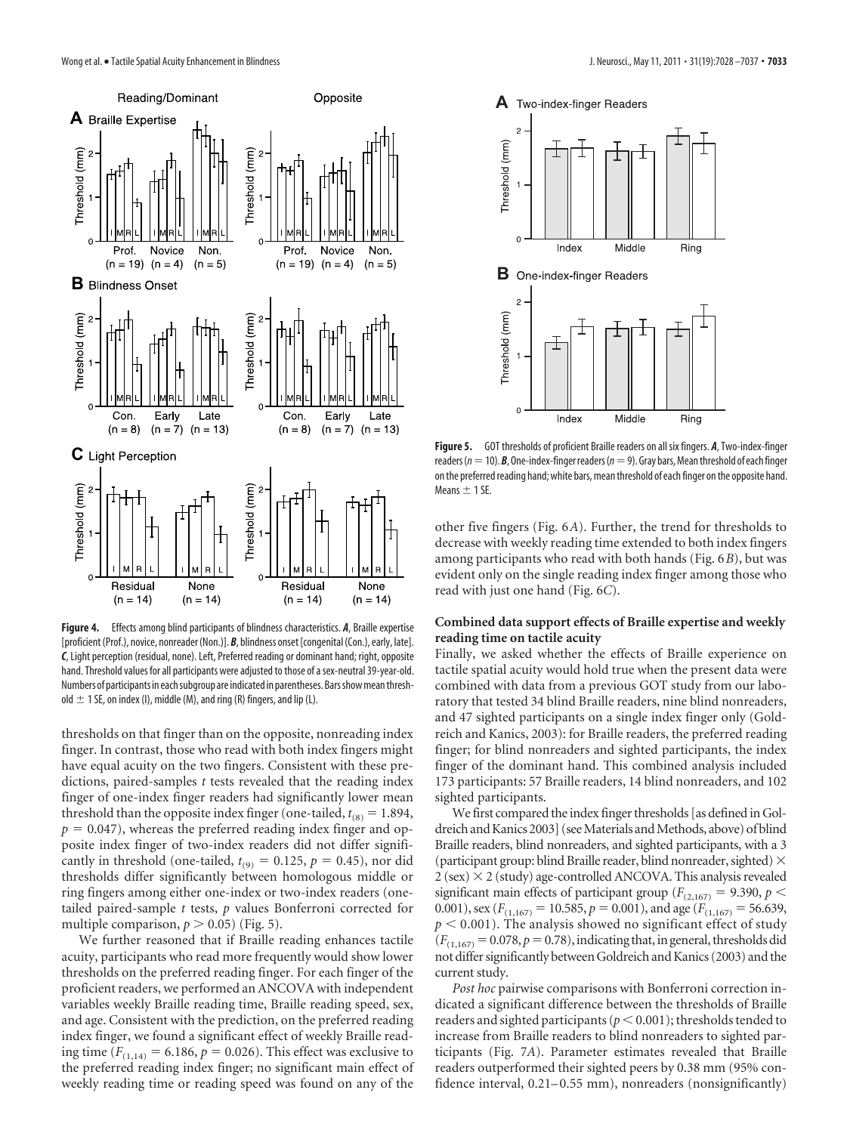

**Figure 4.** Effects among blind participants of blindness characteristics. *A*, Braille expertise [proficient (Prof.), novice, nonreader (Non.)]. *B*, blindness onset [congenital (Con.), early, late]. *C*, Light perception (residual, none). Left, Preferred reading or dominant hand; right, opposite hand. Threshold values for all participants were adjusted to those of asex-neutral 39-year-old. Numbers of participants in each subgroup are indicated in parentheses. Bars show mean threshold  $\pm$  1 SE, on index (I), middle (M), and ring (R) fingers, and lip (L).

thresholds on that finger than on the opposite, nonreading index finger. In contrast, those who read with both index fingers might have equal acuity on the two fingers. Consistent with these predictions, paired-samples *t* tests revealed that the reading index finger of one-index finger readers had significantly lower mean threshold than the opposite index finger (one-tailed,  $t_{(8)} = 1.894$ ,  $p = 0.047$ , whereas the preferred reading index finger and opposite index finger of two-index readers did not differ significantly in threshold (one-tailed,  $t_{(9)} = 0.125$ ,  $p = 0.45$ ), nor did thresholds differ significantly between homologous middle or ring fingers among either one-index or two-index readers (onetailed paired-sample *t* tests, *p* values Bonferroni corrected for multiple comparison,  $p > 0.05$ ) (Fig. 5).

We further reasoned that if Braille reading enhances tactile acuity, participants who read more frequently would show lower thresholds on the preferred reading finger. For each finger of the proficient readers, we performed an ANCOVA with independent variables weekly Braille reading time, Braille reading speed, sex, and age. Consistent with the prediction, on the preferred reading index finger, we found a significant effect of weekly Braille reading time ( $F_{(1,14)} = 6.186$ ,  $p = 0.026$ ). This effect was exclusive to the preferred reading index finger; no significant main effect of weekly reading time or reading speed was found on any of the



**Figure 5.** GOT thresholds of proficient Braille readers on all six fingers. *A*, Two-index-finger readers ( $n=10$ ). *B*, One-index-finger readers ( $n=9$ ). Gray bars, Mean threshold of each finger on the preferred reading hand; white bars, mean threshold of each finger on the opposite hand. Means  $\pm$  1 SE.

other five fingers (Fig. 6*A*). Further, the trend for thresholds to decrease with weekly reading time extended to both index fingers among participants who read with both hands (Fig. 6*B*), but was evident only on the single reading index finger among those who read with just one hand (Fig. 6*C*).

## **Combined data support effects of Braille expertise and weekly reading time on tactile acuity**

Finally, we asked whether the effects of Braille experience on tactile spatial acuity would hold true when the present data were combined with data from a previous GOT study from our laboratory that tested 34 blind Braille readers, nine blind nonreaders, and 47 sighted participants on a single index finger only (Goldreich and Kanics, 2003): for Braille readers, the preferred reading finger; for blind nonreaders and sighted participants, the index finger of the dominant hand. This combined analysis included 173 participants: 57 Braille readers, 14 blind nonreaders, and 102 sighted participants.

We first compared the index finger thresholds [as defined in Goldreich and Kanics 2003] (see Materials and Methods, above) of blind Braille readers, blind nonreaders, and sighted participants, with a 3 (participant group: blind Braille reader, blind nonreader, sighted)  $\times$ 2 (sex) 2 (study) age-controlled ANCOVA. This analysis revealed significant main effects of participant group ( $F_{(2,167)} = 9.390$ ,  $p <$ 0.001), sex ( $F_{(1,167)} = 10.585$ ,  $p = 0.001$ ), and age ( $F_{(1,167)} = 56.639$ ,  $p < 0.001$ ). The analysis showed no significant effect of study  $(F_{(1,167)}=0.078, p=0.78)$ , indicating that, in general, thresholds did not differ significantly between Goldreich and Kanics (2003) and the current study.

*Post hoc* pairwise comparisons with Bonferroni correction indicated a significant difference between the thresholds of Braille readers and sighted participants ( $p < 0.001$ ); thresholds tended to increase from Braille readers to blind nonreaders to sighted participants (Fig. 7*A*). Parameter estimates revealed that Braille readers outperformed their sighted peers by 0.38 mm (95% confidence interval,  $0.21-0.55$  mm), nonreaders (nonsignificantly)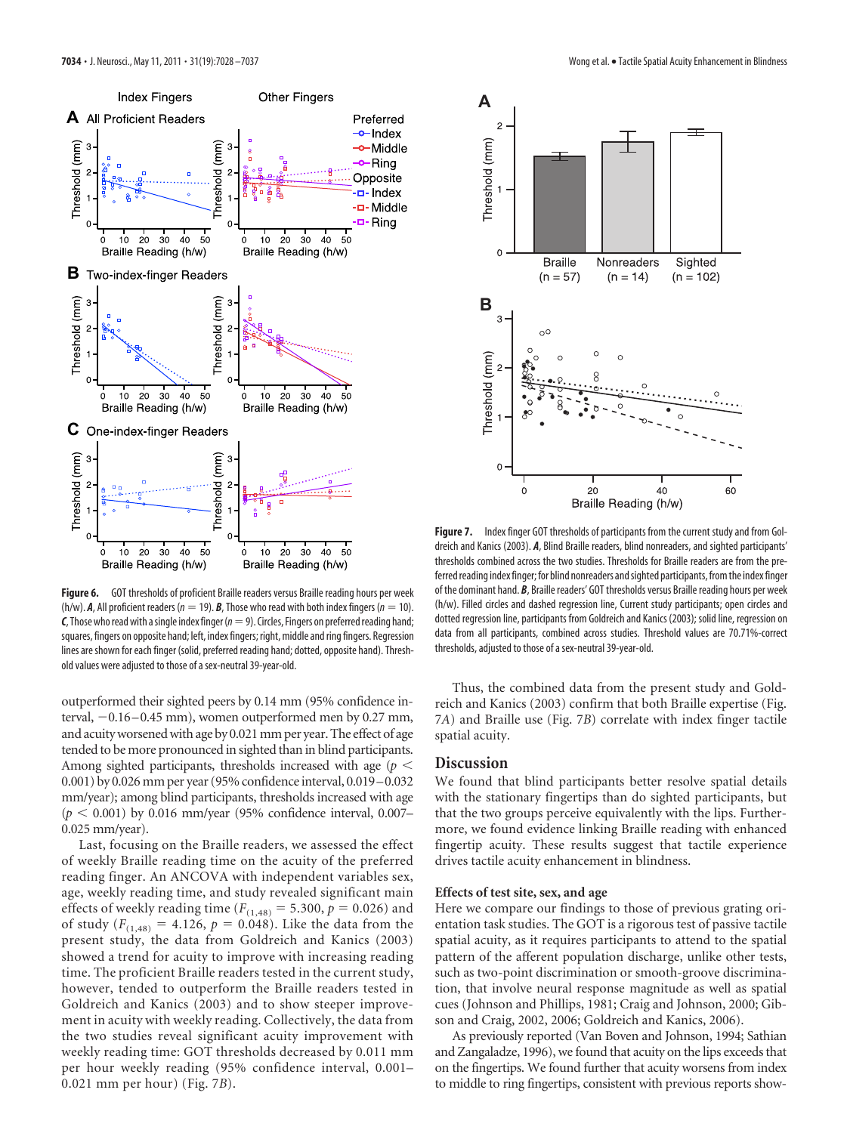![](_page_6_Figure_1.jpeg)

**Figure 6.** GOT thresholds of proficient Braille readers versus Braille reading hours per week  $(h/w)$ . **A**, All proficient readers ( $n = 19$ ). **B**, Those who read with both index fingers ( $n = 10$ ).  $C$ , Those who read with a single index finger ( $n=9$ ). Circles, Fingers on preferred reading hand; squares, fingers on opposite hand; left, index fingers; right, middle and ring fingers. Regression lines are shown for each finger (solid, preferred reading hand; dotted, opposite hand). Threshold values were adjusted to those of a sex-neutral 39-year-old.

outperformed their sighted peers by 0.14 mm (95% confidence interval,  $-0.16-0.45$  mm), women outperformed men by 0.27 mm, and acuity worsened with age by 0.021 mm per year. The effect of age tended to be more pronounced in sighted than in blind participants. Among sighted participants, thresholds increased with age (*p* 0.001) by 0.026 mm per year (95% confidence interval, 0.019–0.032 mm/year); among blind participants, thresholds increased with age  $(p < 0.001)$  by 0.016 mm/year (95% confidence interval, 0.007– 0.025 mm/year).

Last, focusing on the Braille readers, we assessed the effect of weekly Braille reading time on the acuity of the preferred reading finger. An ANCOVA with independent variables sex, age, weekly reading time, and study revealed significant main effects of weekly reading time  $(F_{(1,48)} = 5.300, p = 0.026)$  and of study ( $F_{(1,48)} = 4.126$ ,  $p = 0.048$ ). Like the data from the present study, the data from Goldreich and Kanics (2003) showed a trend for acuity to improve with increasing reading time. The proficient Braille readers tested in the current study, however, tended to outperform the Braille readers tested in Goldreich and Kanics (2003) and to show steeper improvement in acuity with weekly reading. Collectively, the data from the two studies reveal significant acuity improvement with weekly reading time: GOT thresholds decreased by 0.011 mm per hour weekly reading (95% confidence interval, 0.001– 0.021 mm per hour) (Fig. 7*B*).

![](_page_6_Figure_6.jpeg)

**Figure 7.** Index finger GOT thresholds of participants from the current study and from Goldreich and Kanics (2003). *A*, Blind Braille readers, blind nonreaders, and sighted participants' thresholds combined across the two studies. Thresholds for Braille readers are from the preferred reading index finger; for blind nonreaders and sighted participants, from the index finger of the dominant hand. *B*, Braille readers' GOT thresholds versus Braille reading hours per week (h/w). Filled circles and dashed regression line, Current study participants; open circles and dotted regression line, participants from Goldreich and Kanics (2003); solid line, regression on data from all participants, combined across studies. Threshold values are 70.71%-correct thresholds, adjusted to those of a sex-neutral 39-year-old.

Thus, the combined data from the present study and Goldreich and Kanics (2003) confirm that both Braille expertise (Fig. 7*A*) and Braille use (Fig. 7*B*) correlate with index finger tactile spatial acuity.

# **Discussion**

We found that blind participants better resolve spatial details with the stationary fingertips than do sighted participants, but that the two groups perceive equivalently with the lips. Furthermore, we found evidence linking Braille reading with enhanced fingertip acuity. These results suggest that tactile experience drives tactile acuity enhancement in blindness.

#### **Effects of test site, sex, and age**

Here we compare our findings to those of previous grating orientation task studies. The GOT is a rigorous test of passive tactile spatial acuity, as it requires participants to attend to the spatial pattern of the afferent population discharge, unlike other tests, such as two-point discrimination or smooth-groove discrimination, that involve neural response magnitude as well as spatial cues (Johnson and Phillips, 1981; Craig and Johnson, 2000; Gibson and Craig, 2002, 2006; Goldreich and Kanics, 2006).

As previously reported (Van Boven and Johnson, 1994; Sathian and Zangaladze, 1996), we found that acuity on the lips exceeds that on the fingertips. We found further that acuity worsens from index to middle to ring fingertips, consistent with previous reports show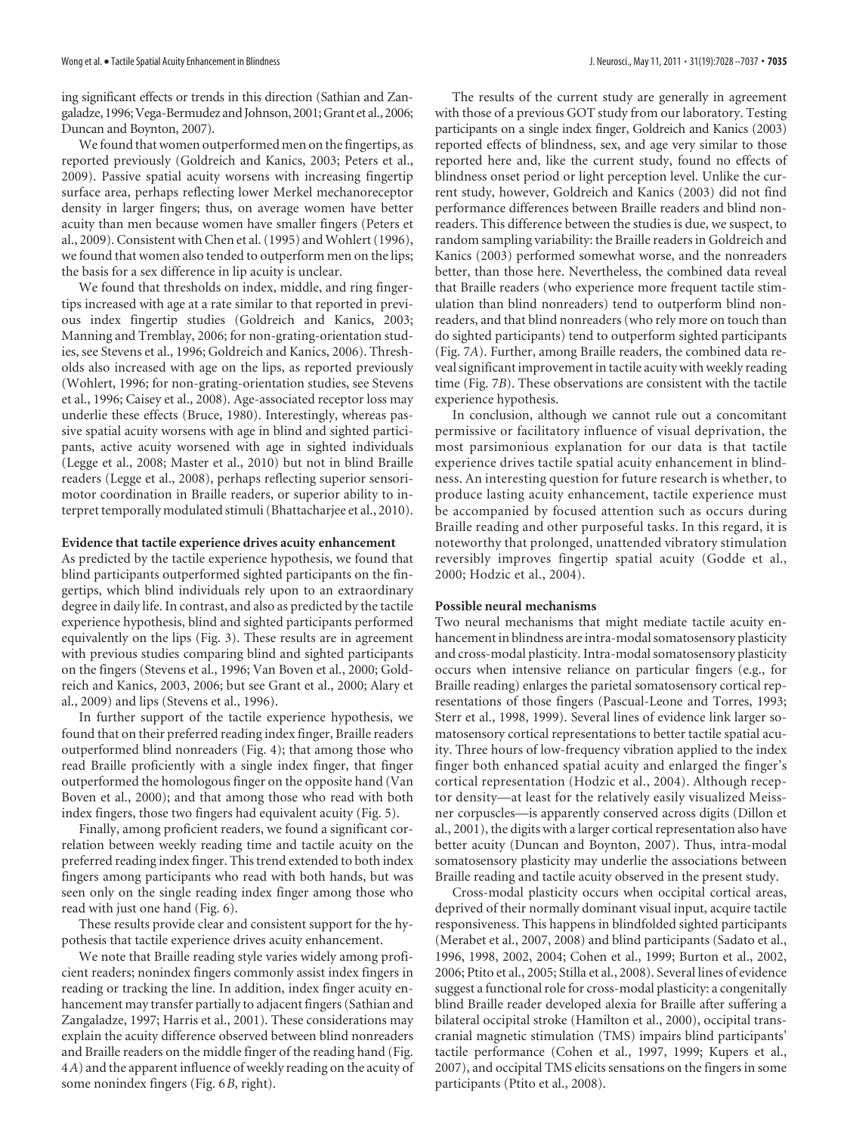ing significant effects or trends in this direction (Sathian and Zangaladze, 1996; Vega-Bermudez and Johnson, 2001; Grant et al., 2006; Duncan and Boynton, 2007).

We found that women outperformed men on the fingertips, as reported previously (Goldreich and Kanics, 2003; Peters et al., 2009). Passive spatial acuity worsens with increasing fingertip surface area, perhaps reflecting lower Merkel mechanoreceptor density in larger fingers; thus, on average women have better acuity than men because women have smaller fingers (Peters et al., 2009). Consistent with Chen et al. (1995) and Wohlert (1996), we found that women also tended to outperform men on the lips; the basis for a sex difference in lip acuity is unclear.

We found that thresholds on index, middle, and ring fingertips increased with age at a rate similar to that reported in previous index fingertip studies (Goldreich and Kanics, 2003; Manning and Tremblay, 2006; for non-grating-orientation studies, see Stevens et al., 1996; Goldreich and Kanics, 2006). Thresholds also increased with age on the lips, as reported previously (Wohlert, 1996; for non-grating-orientation studies, see Stevens et al., 1996; Caisey et al., 2008). Age-associated receptor loss may underlie these effects (Bruce, 1980). Interestingly, whereas passive spatial acuity worsens with age in blind and sighted participants, active acuity worsened with age in sighted individuals (Legge et al., 2008; Master et al., 2010) but not in blind Braille readers (Legge et al., 2008), perhaps reflecting superior sensorimotor coordination in Braille readers, or superior ability to interpret temporally modulated stimuli (Bhattacharjee et al., 2010).

#### **Evidence that tactile experience drives acuity enhancement**

As predicted by the tactile experience hypothesis, we found that blind participants outperformed sighted participants on the fingertips, which blind individuals rely upon to an extraordinary degree in daily life. In contrast, and also as predicted by the tactile experience hypothesis, blind and sighted participants performed equivalently on the lips (Fig. 3). These results are in agreement with previous studies comparing blind and sighted participants on the fingers (Stevens et al., 1996; Van Boven et al., 2000; Goldreich and Kanics, 2003, 2006; but see Grant et al., 2000; Alary et al., 2009) and lips (Stevens et al., 1996).

In further support of the tactile experience hypothesis, we found that on their preferred reading index finger, Braille readers outperformed blind nonreaders (Fig. 4); that among those who read Braille proficiently with a single index finger, that finger outperformed the homologous finger on the opposite hand (Van Boven et al., 2000); and that among those who read with both index fingers, those two fingers had equivalent acuity (Fig. 5).

Finally, among proficient readers, we found a significant correlation between weekly reading time and tactile acuity on the preferred reading index finger. This trend extended to both index fingers among participants who read with both hands, but was seen only on the single reading index finger among those who read with just one hand (Fig. 6).

These results provide clear and consistent support for the hypothesis that tactile experience drives acuity enhancement.

We note that Braille reading style varies widely among proficient readers; nonindex fingers commonly assist index fingers in reading or tracking the line. In addition, index finger acuity enhancement may transfer partially to adjacent fingers (Sathian and Zangaladze, 1997; Harris et al., 2001). These considerations may explain the acuity difference observed between blind nonreaders and Braille readers on the middle finger of the reading hand (Fig. 4*A*) and the apparent influence of weekly reading on the acuity of some nonindex fingers (Fig. 6*B*, right).

The results of the current study are generally in agreement with those of a previous GOT study from our laboratory. Testing participants on a single index finger, Goldreich and Kanics (2003) reported effects of blindness, sex, and age very similar to those reported here and, like the current study, found no effects of blindness onset period or light perception level. Unlike the current study, however, Goldreich and Kanics (2003) did not find performance differences between Braille readers and blind nonreaders. This difference between the studies is due, we suspect, to random sampling variability: the Braille readers in Goldreich and Kanics (2003) performed somewhat worse, and the nonreaders better, than those here. Nevertheless, the combined data reveal that Braille readers (who experience more frequent tactile stimulation than blind nonreaders) tend to outperform blind nonreaders, and that blind nonreaders (who rely more on touch than do sighted participants) tend to outperform sighted participants (Fig. 7*A*). Further, among Braille readers, the combined data reveal significant improvement in tactile acuity with weekly reading time (Fig. 7*B*). These observations are consistent with the tactile experience hypothesis.

In conclusion, although we cannot rule out a concomitant permissive or facilitatory influence of visual deprivation, the most parsimonious explanation for our data is that tactile experience drives tactile spatial acuity enhancement in blindness. An interesting question for future research is whether, to produce lasting acuity enhancement, tactile experience must be accompanied by focused attention such as occurs during Braille reading and other purposeful tasks. In this regard, it is noteworthy that prolonged, unattended vibratory stimulation reversibly improves fingertip spatial acuity (Godde et al., 2000; Hodzic et al., 2004).

#### **Possible neural mechanisms**

Two neural mechanisms that might mediate tactile acuity enhancement in blindness are intra-modal somatosensory plasticity and cross-modal plasticity. Intra-modal somatosensory plasticity occurs when intensive reliance on particular fingers (e.g., for Braille reading) enlarges the parietal somatosensory cortical representations of those fingers (Pascual-Leone and Torres, 1993; Sterr et al., 1998, 1999). Several lines of evidence link larger somatosensory cortical representations to better tactile spatial acuity. Three hours of low-frequency vibration applied to the index finger both enhanced spatial acuity and enlarged the finger's cortical representation (Hodzic et al., 2004). Although receptor density—at least for the relatively easily visualized Meissner corpuscles—is apparently conserved across digits (Dillon et al., 2001), the digits with a larger cortical representation also have better acuity (Duncan and Boynton, 2007). Thus, intra-modal somatosensory plasticity may underlie the associations between Braille reading and tactile acuity observed in the present study.

Cross-modal plasticity occurs when occipital cortical areas, deprived of their normally dominant visual input, acquire tactile responsiveness. This happens in blindfolded sighted participants (Merabet et al., 2007, 2008) and blind participants (Sadato et al., 1996, 1998, 2002, 2004; Cohen et al., 1999; Burton et al., 2002, 2006; Ptito et al., 2005; Stilla et al., 2008). Several lines of evidence suggest a functional role for cross-modal plasticity: a congenitally blind Braille reader developed alexia for Braille after suffering a bilateral occipital stroke (Hamilton et al., 2000), occipital transcranial magnetic stimulation (TMS) impairs blind participants' tactile performance (Cohen et al., 1997, 1999; Kupers et al., 2007), and occipital TMS elicits sensations on the fingers in some participants (Ptito et al., 2008).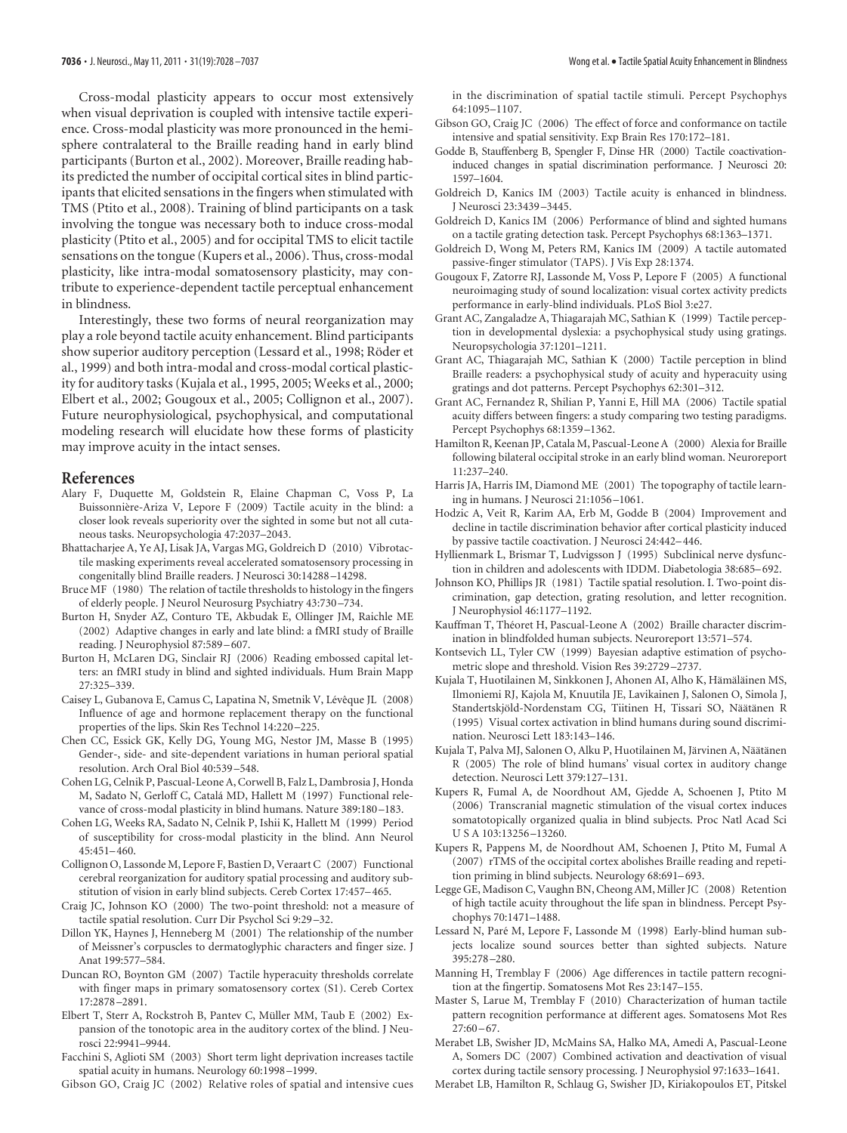Cross-modal plasticity appears to occur most extensively when visual deprivation is coupled with intensive tactile experience. Cross-modal plasticity was more pronounced in the hemisphere contralateral to the Braille reading hand in early blind participants (Burton et al., 2002). Moreover, Braille reading habits predicted the number of occipital cortical sites in blind participants that elicited sensations in the fingers when stimulated with TMS (Ptito et al., 2008). Training of blind participants on a task involving the tongue was necessary both to induce cross-modal plasticity (Ptito et al., 2005) and for occipital TMS to elicit tactile sensations on the tongue (Kupers et al., 2006). Thus, cross-modal plasticity, like intra-modal somatosensory plasticity, may contribute to experience-dependent tactile perceptual enhancement in blindness.

Interestingly, these two forms of neural reorganization may play a role beyond tactile acuity enhancement. Blind participants show superior auditory perception (Lessard et al., 1998; Röder et al., 1999) and both intra-modal and cross-modal cortical plasticity for auditory tasks (Kujala et al., 1995, 2005; Weeks et al., 2000; Elbert et al., 2002; Gougoux et al., 2005; Collignon et al., 2007). Future neurophysiological, psychophysical, and computational modeling research will elucidate how these forms of plasticity may improve acuity in the intact senses.

#### **References**

- Alary F, Duquette M, Goldstein R, Elaine Chapman C, Voss P, La Buissonnière-Ariza V, Lepore F (2009) Tactile acuity in the blind: a closer look reveals superiority over the sighted in some but not all cutaneous tasks. Neuropsychologia 47:2037–2043.
- Bhattacharjee A, Ye AJ, Lisak JA, Vargas MG, Goldreich D (2010) Vibrotactile masking experiments reveal accelerated somatosensory processing in congenitally blind Braille readers. J Neurosci 30:14288 –14298.
- Bruce MF (1980) The relation of tactile thresholds to histology in the fingers of elderly people. J Neurol Neurosurg Psychiatry 43:730 –734.
- Burton H, Snyder AZ, Conturo TE, Akbudak E, Ollinger JM, Raichle ME (2002) Adaptive changes in early and late blind: a fMRI study of Braille reading. J Neurophysiol 87:589 – 607.
- Burton H, McLaren DG, Sinclair RJ (2006) Reading embossed capital letters: an fMRI study in blind and sighted individuals. Hum Brain Mapp 27:325–339.
- Caisey L, Gubanova E, Camus C, Lapatina N, Smetnik V, Lévêque JL (2008) Influence of age and hormone replacement therapy on the functional properties of the lips. Skin Res Technol 14:220 –225.
- Chen CC, Essick GK, Kelly DG, Young MG, Nestor JM, Masse B (1995) Gender-, side- and site-dependent variations in human perioral spatial resolution. Arch Oral Biol 40:539 –548.
- Cohen LG, Celnik P, Pascual-Leone A, Corwell B, Falz L, Dambrosia J, Honda M, Sadato N, Gerloff C, Catalá MD, Hallett M (1997) Functional relevance of cross-modal plasticity in blind humans. Nature 389:180-183.
- Cohen LG, Weeks RA, Sadato N, Celnik P, Ishii K, Hallett M (1999) Period of susceptibility for cross-modal plasticity in the blind. Ann Neurol  $45:451-460.$
- Collignon O, Lassonde M, Lepore F, Bastien D, Veraart C (2007) Functional cerebral reorganization for auditory spatial processing and auditory substitution of vision in early blind subjects. Cereb Cortex 17:457– 465.
- Craig JC, Johnson KO (2000) The two-point threshold: not a measure of tactile spatial resolution. Curr Dir Psychol Sci 9:29 –32.
- Dillon YK, Haynes J, Henneberg M (2001) The relationship of the number of Meissner's corpuscles to dermatoglyphic characters and finger size. J Anat 199:577–584.
- Duncan RO, Boynton GM (2007) Tactile hyperacuity thresholds correlate with finger maps in primary somatosensory cortex (S1). Cereb Cortex 17:2878 –2891.
- Elbert T, Sterr A, Rockstroh B, Pantev C, Müller MM, Taub E (2002) Expansion of the tonotopic area in the auditory cortex of the blind. J Neurosci 22:9941–9944.

Facchini S, Aglioti SM (2003) Short term light deprivation increases tactile spatial acuity in humans. Neurology 60:1998 –1999.

Gibson GO, Craig JC (2002) Relative roles of spatial and intensive cues

in the discrimination of spatial tactile stimuli. Percept Psychophys 64:1095–1107.

- Gibson GO, Craig JC (2006) The effect of force and conformance on tactile intensive and spatial sensitivity. Exp Brain Res 170:172–181.
- Godde B, Stauffenberg B, Spengler F, Dinse HR (2000) Tactile coactivationinduced changes in spatial discrimination performance. J Neurosci 20: 1597–1604.
- Goldreich D, Kanics IM (2003) Tactile acuity is enhanced in blindness. J Neurosci 23:3439 –3445.
- Goldreich D, Kanics IM (2006) Performance of blind and sighted humans on a tactile grating detection task. Percept Psychophys 68:1363–1371.
- Goldreich D, Wong M, Peters RM, Kanics IM (2009) A tactile automated passive-finger stimulator (TAPS). J Vis Exp 28:1374.
- Gougoux F, Zatorre RJ, Lassonde M, Voss P, Lepore F (2005) A functional neuroimaging study of sound localization: visual cortex activity predicts performance in early-blind individuals. PLoS Biol 3:e27.
- Grant AC, Zangaladze A, Thiagarajah MC, Sathian K (1999) Tactile perception in developmental dyslexia: a psychophysical study using gratings. Neuropsychologia 37:1201–1211.
- Grant AC, Thiagarajah MC, Sathian K (2000) Tactile perception in blind Braille readers: a psychophysical study of acuity and hyperacuity using gratings and dot patterns. Percept Psychophys 62:301–312.
- Grant AC, Fernandez R, Shilian P, Yanni E, Hill MA (2006) Tactile spatial acuity differs between fingers: a study comparing two testing paradigms. Percept Psychophys 68:1359 –1362.
- Hamilton R, Keenan JP, Catala M, Pascual-Leone A (2000) Alexia for Braille following bilateral occipital stroke in an early blind woman. Neuroreport 11:237–240.
- Harris JA, Harris IM, Diamond ME (2001) The topography of tactile learning in humans. J Neurosci 21:1056 –1061.
- Hodzic A, Veit R, Karim AA, Erb M, Godde B (2004) Improvement and decline in tactile discrimination behavior after cortical plasticity induced by passive tactile coactivation. J Neurosci 24:442– 446.
- Hyllienmark L, Brismar T, Ludvigsson J (1995) Subclinical nerve dysfunction in children and adolescents with IDDM. Diabetologia 38:685– 692.
- Johnson KO, Phillips JR (1981) Tactile spatial resolution. I. Two-point discrimination, gap detection, grating resolution, and letter recognition. J Neurophysiol 46:1177–1192.
- Kauffman T, Théoret H, Pascual-Leone A (2002) Braille character discrimination in blindfolded human subjects. Neuroreport 13:571–574.
- Kontsevich LL, Tyler CW (1999) Bayesian adaptive estimation of psychometric slope and threshold. Vision Res 39:2729 –2737.
- Kujala T, Huotilainen M, Sinkkonen J, Ahonen AI, Alho K, Hämäläinen MS, Ilmoniemi RJ, Kajola M, Knuutila JE, Lavikainen J, Salonen O, Simola J, Standertskjöld-Nordenstam CG, Tiitinen H, Tissari SO, Näätänen R (1995) Visual cortex activation in blind humans during sound discrimination. Neurosci Lett 183:143–146.
- Kujala T, Palva MJ, Salonen O, Alku P, Huotilainen M, Järvinen A, Näätänen R (2005) The role of blind humans' visual cortex in auditory change detection. Neurosci Lett 379:127–131.
- Kupers R, Fumal A, de Noordhout AM, Gjedde A, Schoenen J, Ptito M (2006) Transcranial magnetic stimulation of the visual cortex induces somatotopically organized qualia in blind subjects. Proc Natl Acad Sci U S A 103:13256 –13260.
- Kupers R, Pappens M, de Noordhout AM, Schoenen J, Ptito M, Fumal A (2007) rTMS of the occipital cortex abolishes Braille reading and repetition priming in blind subjects. Neurology 68:691– 693.
- Legge GE, Madison C, Vaughn BN, Cheong AM, Miller JC (2008) Retention of high tactile acuity throughout the life span in blindness. Percept Psychophys 70:1471–1488.
- Lessard N, Paré M, Lepore F, Lassonde M (1998) Early-blind human subjects localize sound sources better than sighted subjects. Nature 395:278 –280.
- Manning H, Tremblay F (2006) Age differences in tactile pattern recognition at the fingertip. Somatosens Mot Res 23:147–155.
- Master S, Larue M, Tremblay F (2010) Characterization of human tactile pattern recognition performance at different ages. Somatosens Mot Res  $27.60 - 67$
- Merabet LB, Swisher JD, McMains SA, Halko MA, Amedi A, Pascual-Leone A, Somers DC (2007) Combined activation and deactivation of visual cortex during tactile sensory processing. J Neurophysiol 97:1633–1641.
- Merabet LB, Hamilton R, Schlaug G, Swisher JD, Kiriakopoulos ET, Pitskel